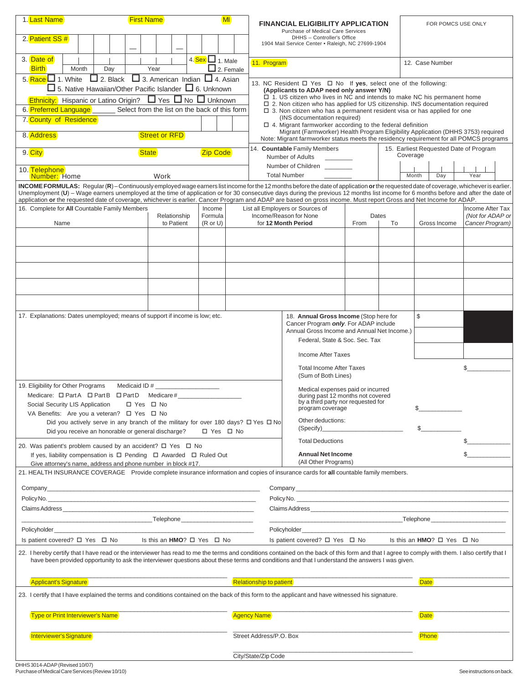| 1. Last Name<br>2. Patient SS #                                                                                                                                                                                                                                                                                                                                                                                                      | <b>First Name</b>                                  |                                                                        |                                                                                                                                                              | MI                                        | <b>FINANCIAL ELIGIBILITY APPLICATION</b><br>Purchase of Medical Care Services<br>DHHS - Controller's Office<br>1904 Mail Service Center . Raleigh, NC 27699-1904                                                                                                                                                                                                              |                                                                                                                                                                                                                                     |              | FOR POMCS USE ONLY |                                                    |  |
|--------------------------------------------------------------------------------------------------------------------------------------------------------------------------------------------------------------------------------------------------------------------------------------------------------------------------------------------------------------------------------------------------------------------------------------|----------------------------------------------------|------------------------------------------------------------------------|--------------------------------------------------------------------------------------------------------------------------------------------------------------|-------------------------------------------|-------------------------------------------------------------------------------------------------------------------------------------------------------------------------------------------------------------------------------------------------------------------------------------------------------------------------------------------------------------------------------|-------------------------------------------------------------------------------------------------------------------------------------------------------------------------------------------------------------------------------------|--------------|--------------------|----------------------------------------------------|--|
| 3. Date of                                                                                                                                                                                                                                                                                                                                                                                                                           |                                                    |                                                                        | 4. $Sex$ 1. Male                                                                                                                                             |                                           |                                                                                                                                                                                                                                                                                                                                                                               |                                                                                                                                                                                                                                     |              |                    |                                                    |  |
| <b>Birth</b><br>Month                                                                                                                                                                                                                                                                                                                                                                                                                | Day                                                | Year                                                                   | $\Box$ 2. Female                                                                                                                                             |                                           | 11. Program                                                                                                                                                                                                                                                                                                                                                                   |                                                                                                                                                                                                                                     |              | 12. Case Number    |                                                    |  |
| 5. Race $\Box$ 1. White $\Box$ 2. Black $\Box$ 3. American Indian $\Box$ 4. Asian<br>$\Box$ 5. Native Hawaiian/Other Pacific Islander $\Box$ 6. Unknown<br><b>Ethnicity:</b> Hispanic or Latino Origin? □ Yes □ No □ Unknown<br>6. Preferred Language<br>Select from the list on the back of this form                                                                                                                               |                                                    |                                                                        |                                                                                                                                                              |                                           | 13. NC Resident $\Box$ Yes $\Box$ No If yes, select one of the following:<br>(Applicants to ADAP need only answer Y/N)<br>$\Box$ 1. US citizen who lives in NC and intends to make NC his permanent home<br>□ 2. Non citizen who has applied for US citizenship. INS documentation required<br>$\Box$ 3. Non citizen who has a permanent resident visa or has applied for one |                                                                                                                                                                                                                                     |              |                    |                                                    |  |
| 7. County of Residence                                                                                                                                                                                                                                                                                                                                                                                                               |                                                    |                                                                        |                                                                                                                                                              |                                           | (INS documentation required)<br>$\Box$ 4. Migrant farmworker according to the federal definition                                                                                                                                                                                                                                                                              |                                                                                                                                                                                                                                     |              |                    |                                                    |  |
| 8. Address                                                                                                                                                                                                                                                                                                                                                                                                                           | <b>Street or RFD</b>                               |                                                                        |                                                                                                                                                              |                                           | Migrant (Farmworker) Health Program Eligibility Application (DHHS 3753) required<br>Note: Migrant farmworker status meets the residency requirement for all POMCS programs                                                                                                                                                                                                    |                                                                                                                                                                                                                                     |              |                    |                                                    |  |
| 9. City                                                                                                                                                                                                                                                                                                                                                                                                                              | <b>State</b><br><b>Zip Code</b>                    |                                                                        |                                                                                                                                                              |                                           | 14. Countable Family Members<br>Number of Adults                                                                                                                                                                                                                                                                                                                              |                                                                                                                                                                                                                                     |              |                    | 15. Earliest Requested Date of Program<br>Coverage |  |
| 10. Telephone<br>Work<br>Number: Home                                                                                                                                                                                                                                                                                                                                                                                                |                                                    |                                                                        |                                                                                                                                                              | Number of Children<br><b>Total Number</b> |                                                                                                                                                                                                                                                                                                                                                                               |                                                                                                                                                                                                                                     | Month<br>Day | Year               |                                                    |  |
| INCOME FORMULAS: Regular (R) - Continuously employed wage earners list income for the 12 months before the date of application or the requested date of coverage, whichever is earlier.<br>Unemployment (U) - Wage earners unemployed at the time of application or for 30 consecutive days during the previous 12 months list income for 6 months before and after the date of                                                      |                                                    |                                                                        |                                                                                                                                                              |                                           |                                                                                                                                                                                                                                                                                                                                                                               |                                                                                                                                                                                                                                     |              |                    |                                                    |  |
| 16. Complete for All Countable Family Members                                                                                                                                                                                                                                                                                                                                                                                        |                                                    |                                                                        | Income                                                                                                                                                       |                                           | application or the requested date of coverage, whichever is earlier. Cancer Program and ADAP are based on gross income. Must report Gross and Net Income for ADAP.<br>List all Employers or Sources of                                                                                                                                                                        |                                                                                                                                                                                                                                     |              |                    | Income After Tax                                   |  |
| Name                                                                                                                                                                                                                                                                                                                                                                                                                                 |                                                    | Relationship<br>to Patient                                             | Formula<br>$(R$ or $U$ )                                                                                                                                     |                                           | Income/Reason for None<br>for 12 Month Period                                                                                                                                                                                                                                                                                                                                 | From                                                                                                                                                                                                                                | Dates<br>To  | Gross Income       | (Not for ADAP or<br>Cancer Program)                |  |
|                                                                                                                                                                                                                                                                                                                                                                                                                                      |                                                    |                                                                        |                                                                                                                                                              |                                           |                                                                                                                                                                                                                                                                                                                                                                               |                                                                                                                                                                                                                                     |              |                    |                                                    |  |
|                                                                                                                                                                                                                                                                                                                                                                                                                                      |                                                    |                                                                        |                                                                                                                                                              |                                           |                                                                                                                                                                                                                                                                                                                                                                               |                                                                                                                                                                                                                                     |              |                    |                                                    |  |
|                                                                                                                                                                                                                                                                                                                                                                                                                                      |                                                    |                                                                        |                                                                                                                                                              |                                           |                                                                                                                                                                                                                                                                                                                                                                               |                                                                                                                                                                                                                                     |              |                    |                                                    |  |
|                                                                                                                                                                                                                                                                                                                                                                                                                                      |                                                    |                                                                        |                                                                                                                                                              |                                           |                                                                                                                                                                                                                                                                                                                                                                               |                                                                                                                                                                                                                                     |              |                    |                                                    |  |
|                                                                                                                                                                                                                                                                                                                                                                                                                                      |                                                    |                                                                        |                                                                                                                                                              |                                           |                                                                                                                                                                                                                                                                                                                                                                               |                                                                                                                                                                                                                                     |              |                    |                                                    |  |
|                                                                                                                                                                                                                                                                                                                                                                                                                                      |                                                    |                                                                        |                                                                                                                                                              |                                           |                                                                                                                                                                                                                                                                                                                                                                               |                                                                                                                                                                                                                                     |              |                    |                                                    |  |
| 17. Explanations: Dates unemployed; means of support if income is low; etc.                                                                                                                                                                                                                                                                                                                                                          |                                                    |                                                                        |                                                                                                                                                              |                                           | \$<br>18. Annual Gross Income (Stop here for                                                                                                                                                                                                                                                                                                                                  |                                                                                                                                                                                                                                     |              |                    |                                                    |  |
|                                                                                                                                                                                                                                                                                                                                                                                                                                      |                                                    |                                                                        |                                                                                                                                                              |                                           | Cancer Program only. For ADAP include<br>Annual Gross Income and Annual Net Income.)                                                                                                                                                                                                                                                                                          |                                                                                                                                                                                                                                     |              |                    |                                                    |  |
|                                                                                                                                                                                                                                                                                                                                                                                                                                      |                                                    |                                                                        |                                                                                                                                                              |                                           | Federal, State & Soc. Sec. Tax                                                                                                                                                                                                                                                                                                                                                |                                                                                                                                                                                                                                     |              |                    |                                                    |  |
|                                                                                                                                                                                                                                                                                                                                                                                                                                      |                                                    |                                                                        |                                                                                                                                                              |                                           | Income After Taxes                                                                                                                                                                                                                                                                                                                                                            |                                                                                                                                                                                                                                     |              |                    |                                                    |  |
|                                                                                                                                                                                                                                                                                                                                                                                                                                      |                                                    |                                                                        |                                                                                                                                                              |                                           | <b>Total Income After Taxes</b>                                                                                                                                                                                                                                                                                                                                               |                                                                                                                                                                                                                                     |              |                    | \$                                                 |  |
|                                                                                                                                                                                                                                                                                                                                                                                                                                      |                                                    |                                                                        | (Sum of Both Lines)                                                                                                                                          |                                           |                                                                                                                                                                                                                                                                                                                                                                               |                                                                                                                                                                                                                                     |              |                    |                                                    |  |
| 19. Eligibility for Other Programs<br>Medicare: $\Box$ Part A $\Box$ Part B $\Box$ Part D Medicare #                                                                                                                                                                                                                                                                                                                                 |                                                    | Medical expenses paid or incurred<br>during past 12 months not covered |                                                                                                                                                              |                                           |                                                                                                                                                                                                                                                                                                                                                                               |                                                                                                                                                                                                                                     |              |                    |                                                    |  |
| Social Security LIS Application                                                                                                                                                                                                                                                                                                                                                                                                      | □ Yes □ No                                         |                                                                        | by a third party nor requested for<br>\$<br>program coverage                                                                                                 |                                           |                                                                                                                                                                                                                                                                                                                                                                               |                                                                                                                                                                                                                                     |              |                    |                                                    |  |
| VA Benefits: Are you a veteran? □ Yes □ No<br>Did you actively serve in any branch of the military for over 180 days? $\Box$ Yes $\Box$ No                                                                                                                                                                                                                                                                                           |                                                    |                                                                        |                                                                                                                                                              |                                           | Other deductions:                                                                                                                                                                                                                                                                                                                                                             |                                                                                                                                                                                                                                     |              |                    |                                                    |  |
|                                                                                                                                                                                                                                                                                                                                                                                                                                      | Did you receive an honorable or general discharge? |                                                                        | □ Yes □ No                                                                                                                                                   |                                           |                                                                                                                                                                                                                                                                                                                                                                               |                                                                                                                                                                                                                                     |              | \$                 |                                                    |  |
| 20. Was patient's problem caused by an accident? $\Box$ Yes $\Box$ No                                                                                                                                                                                                                                                                                                                                                                |                                                    |                                                                        |                                                                                                                                                              |                                           | <b>Total Deductions</b>                                                                                                                                                                                                                                                                                                                                                       |                                                                                                                                                                                                                                     |              |                    |                                                    |  |
| If yes, liability compensation is $\Box$ Pending $\Box$ Awarded $\Box$ Ruled Out                                                                                                                                                                                                                                                                                                                                                     |                                                    |                                                                        |                                                                                                                                                              |                                           | <b>Annual Net Income</b>                                                                                                                                                                                                                                                                                                                                                      |                                                                                                                                                                                                                                     |              |                    | S                                                  |  |
| Give attorney's name, address and phone number in block #17.                                                                                                                                                                                                                                                                                                                                                                         |                                                    |                                                                        | (All Other Programs)<br>21. HEALTH INSURANCE COVERAGE Provide complete insurance information and copies of insurance cards for all countable family members. |                                           |                                                                                                                                                                                                                                                                                                                                                                               |                                                                                                                                                                                                                                     |              |                    |                                                    |  |
|                                                                                                                                                                                                                                                                                                                                                                                                                                      |                                                    |                                                                        |                                                                                                                                                              |                                           |                                                                                                                                                                                                                                                                                                                                                                               |                                                                                                                                                                                                                                     |              |                    |                                                    |  |
|                                                                                                                                                                                                                                                                                                                                                                                                                                      |                                                    |                                                                        |                                                                                                                                                              |                                           | Policy No. 2008 and 2008 and 2008 and 2008 and 2008 and 2008 and 2008 and 2008 and 2008 and 2008 and 2008 and                                                                                                                                                                                                                                                                 |                                                                                                                                                                                                                                     |              |                    |                                                    |  |
|                                                                                                                                                                                                                                                                                                                                                                                                                                      |                                                    |                                                                        |                                                                                                                                                              |                                           |                                                                                                                                                                                                                                                                                                                                                                               | Claims Address <b>Example 20</b> No. 1 No. 1 No. 1 No. 1 No. 1 No. 1 No. 1 No. 1 No. 1 No. 1 No. 1 No. 1 No. 1 No. 1 No. 1 No. 1 No. 1 No. 1 No. 1 No. 1 No. 1 No. 1 No. 1 No. 1 No. 1 No. 1 No. 1 No. 1 No. 1 No. 1 No. 1 No. 1 No |              |                    |                                                    |  |
|                                                                                                                                                                                                                                                                                                                                                                                                                                      |                                                    |                                                                        |                                                                                                                                                              |                                           |                                                                                                                                                                                                                                                                                                                                                                               |                                                                                                                                                                                                                                     |              |                    |                                                    |  |
|                                                                                                                                                                                                                                                                                                                                                                                                                                      |                                                    | Is patient covered? □ Yes □ No<br>Is this an $HMO? \Box Yes \Box No$   |                                                                                                                                                              |                                           |                                                                                                                                                                                                                                                                                                                                                                               |                                                                                                                                                                                                                                     |              |                    |                                                    |  |
| Is this an $HMO? \Box Yes \Box No$<br>Is patient covered? $\Box$ Yes $\Box$ No<br>22. I hereby certify that I have read or the interviewer has read to me the terms and conditions contained on the back of this form and that I agree to comply with them. I also certify that I<br>have been provided opportunity to ask the interviewer questions about these terms and conditions and that I understand the answers I was given. |                                                    |                                                                        |                                                                                                                                                              |                                           |                                                                                                                                                                                                                                                                                                                                                                               |                                                                                                                                                                                                                                     |              |                    |                                                    |  |
| <b>Applicant's Signature</b>                                                                                                                                                                                                                                                                                                                                                                                                         |                                                    |                                                                        |                                                                                                                                                              | <b>Relationship to patient</b>            |                                                                                                                                                                                                                                                                                                                                                                               |                                                                                                                                                                                                                                     |              |                    | <b>Date</b>                                        |  |
| 23. I certify that I have explained the terms and conditions contained on the back of this form to the applicant and have witnessed his signature.                                                                                                                                                                                                                                                                                   |                                                    |                                                                        |                                                                                                                                                              |                                           |                                                                                                                                                                                                                                                                                                                                                                               |                                                                                                                                                                                                                                     |              |                    |                                                    |  |
| <b>Type or Print Interviewer's Name</b>                                                                                                                                                                                                                                                                                                                                                                                              |                                                    |                                                                        |                                                                                                                                                              | <b>Agency Name</b>                        |                                                                                                                                                                                                                                                                                                                                                                               |                                                                                                                                                                                                                                     |              | <b>Date</b>        |                                                    |  |
| Interviewer's Signature                                                                                                                                                                                                                                                                                                                                                                                                              |                                                    |                                                                        |                                                                                                                                                              |                                           | Street Address/P.O. Box                                                                                                                                                                                                                                                                                                                                                       |                                                                                                                                                                                                                                     |              | <b>Phone</b>       |                                                    |  |
|                                                                                                                                                                                                                                                                                                                                                                                                                                      |                                                    |                                                                        |                                                                                                                                                              | City/State/Zip Code                       |                                                                                                                                                                                                                                                                                                                                                                               |                                                                                                                                                                                                                                     |              |                    |                                                    |  |